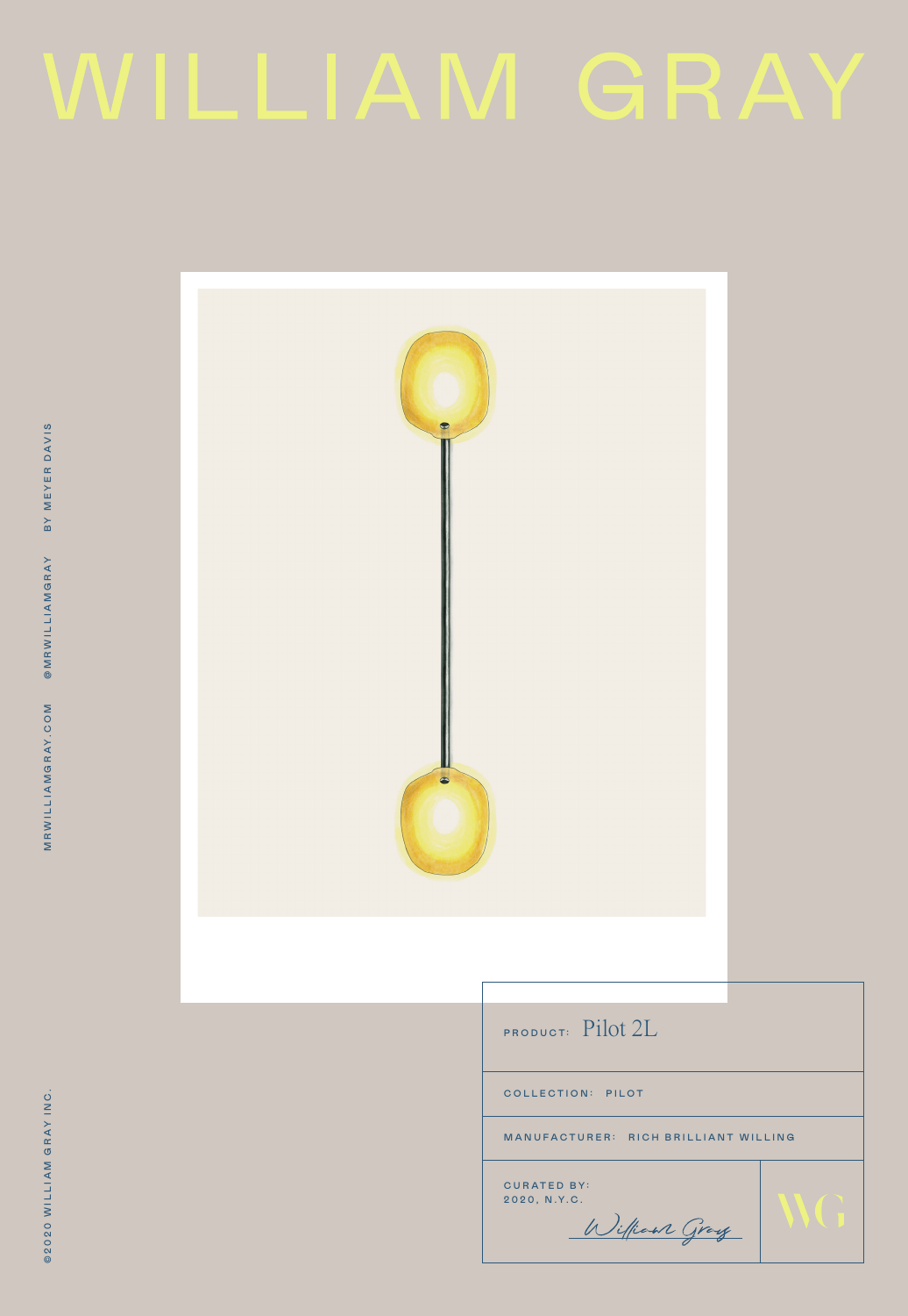# WILLIAM GRAY

| $\bullet$<br>$\bullet$ |                                             |  |
|------------------------|---------------------------------------------|--|
|                        | PRODUCT: Pilot 2L                           |  |
|                        | COLLECTION: PILOT                           |  |
|                        | MANUFACTURER: RICH BRILLIANT WILLING        |  |
|                        | CURATED BY:<br>2020, N.Y.C.<br>William Gray |  |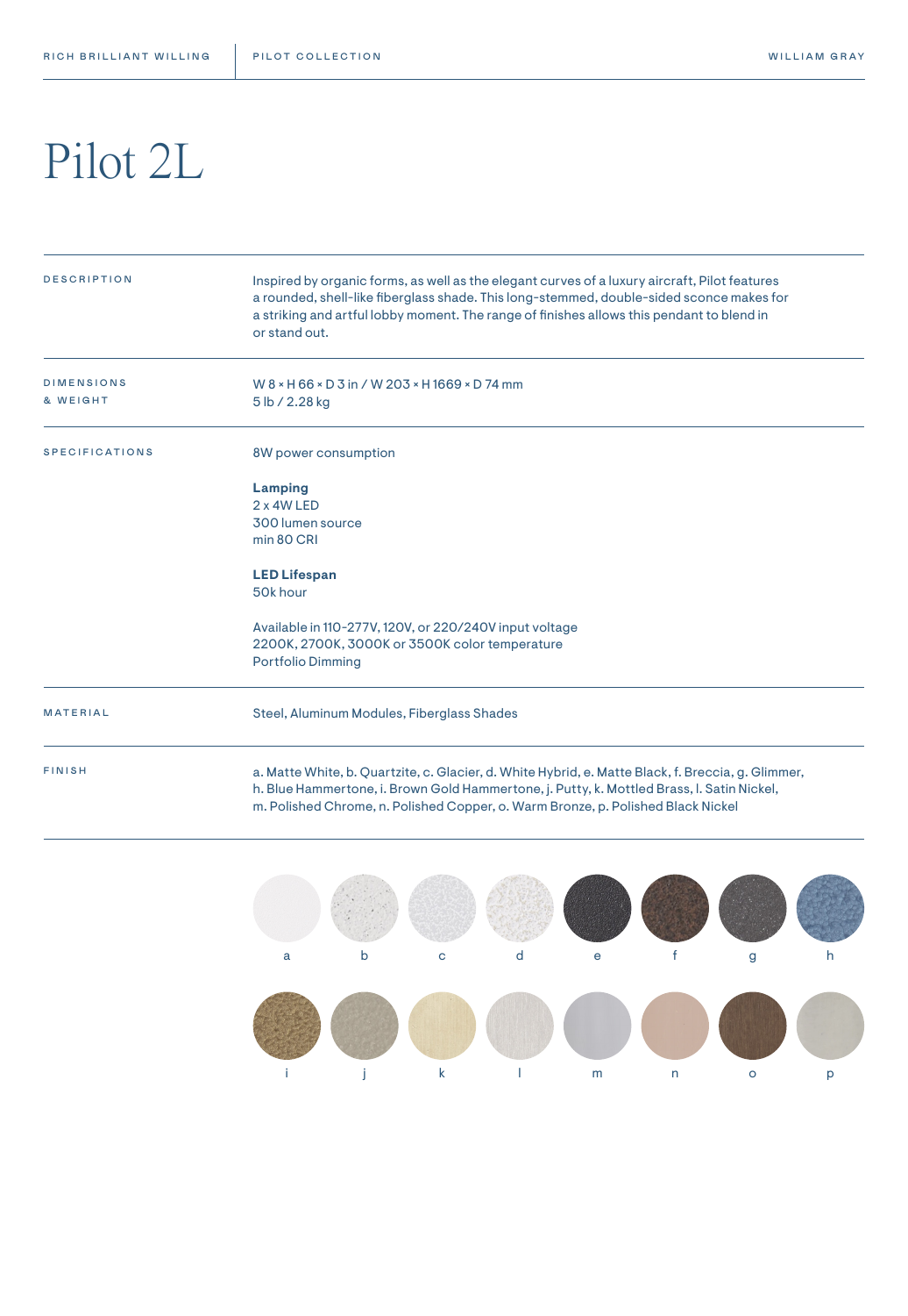### Pilot 2L

| <b>DESCRIPTION</b>            | Inspired by organic forms, as well as the elegant curves of a luxury aircraft, Pilot features<br>a rounded, shell-like fiberglass shade. This long-stemmed, double-sided sconce makes for<br>a striking and artful lobby moment. The range of finishes allows this pendant to blend in<br>or stand out. |  |  |  |  |  |
|-------------------------------|---------------------------------------------------------------------------------------------------------------------------------------------------------------------------------------------------------------------------------------------------------------------------------------------------------|--|--|--|--|--|
| <b>DIMENSIONS</b><br>& WEIGHT | W 8 × H 66 × D 3 in / W 203 × H 1669 × D 74 mm<br>5 lb / 2.28 kg                                                                                                                                                                                                                                        |  |  |  |  |  |
| <b>SPECIFICATIONS</b>         | 8W power consumption                                                                                                                                                                                                                                                                                    |  |  |  |  |  |
|                               | Lamping<br>2 x 4W LED<br>300 lumen source<br>min 80 CRI                                                                                                                                                                                                                                                 |  |  |  |  |  |
|                               | <b>LED Lifespan</b><br>50k hour                                                                                                                                                                                                                                                                         |  |  |  |  |  |
|                               | Available in 110-277V, 120V, or 220/240V input voltage<br>2200K, 2700K, 3000K or 3500K color temperature<br><b>Portfolio Dimming</b>                                                                                                                                                                    |  |  |  |  |  |
| <b>MATERIAL</b>               | Steel, Aluminum Modules, Fiberglass Shades                                                                                                                                                                                                                                                              |  |  |  |  |  |
| <b>FINISH</b>                 | a. Matte White, b. Quartzite, c. Glacier, d. White Hybrid, e. Matte Black, f. Breccia, g. Glimmer,<br>h. Blue Hammertone, i. Brown Gold Hammertone, j. Putty, k. Mottled Brass, I. Satin Nickel,<br>m. Polished Chrome, n. Polished Copper, o. Warm Bronze, p. Polished Black Nickel                    |  |  |  |  |  |

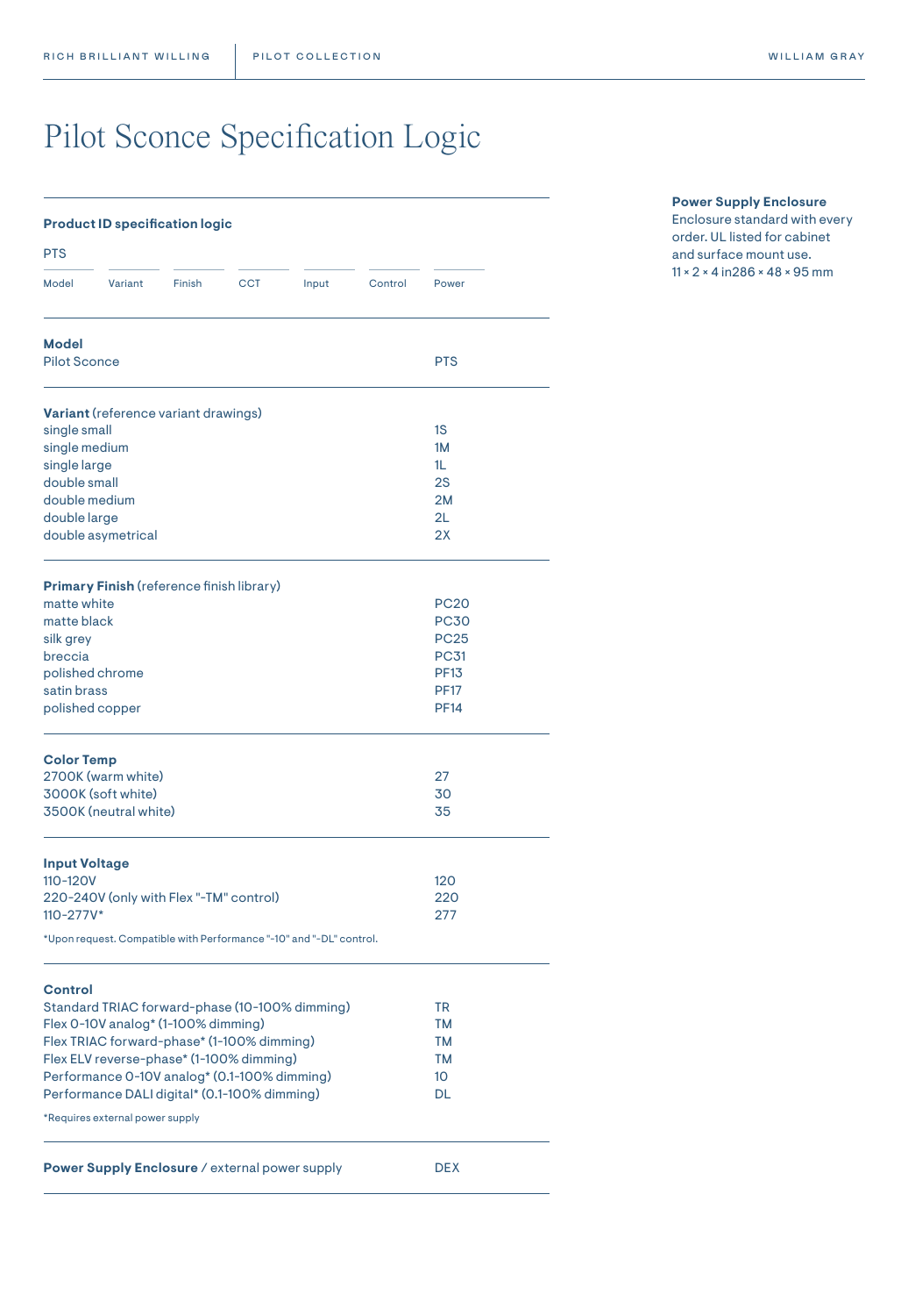### Pilot Sconce Specification Logic

| <b>Product ID specification logic</b>                                             |        |            |       |         |             |  |
|-----------------------------------------------------------------------------------|--------|------------|-------|---------|-------------|--|
| <b>PTS</b>                                                                        |        |            |       |         |             |  |
| Model<br>Variant                                                                  | Finish | <b>CCT</b> | Input | Control | Power       |  |
| <b>Model</b><br><b>Pilot Sconce</b>                                               |        |            |       |         | <b>PTS</b>  |  |
|                                                                                   |        |            |       |         |             |  |
| <b>Variant</b> (reference variant drawings)                                       |        |            |       |         |             |  |
| single small                                                                      |        |            |       |         | 1S          |  |
| single medium                                                                     |        |            |       |         | 1M          |  |
| single large                                                                      |        |            |       |         | 1L          |  |
| double small                                                                      |        |            |       |         | 2S          |  |
| double medium                                                                     |        |            |       |         | 2M          |  |
| double large                                                                      |        |            |       |         | 2L          |  |
| double asymetrical                                                                |        |            |       |         | 2X          |  |
| <b>Primary Finish (reference finish library)</b>                                  |        |            |       |         |             |  |
| matte white                                                                       |        |            |       |         | <b>PC20</b> |  |
| matte black                                                                       |        |            |       |         | <b>PC30</b> |  |
| silk grey                                                                         |        |            |       |         | <b>PC25</b> |  |
| breccia                                                                           |        |            |       |         | <b>PC31</b> |  |
| polished chrome                                                                   |        |            |       |         | <b>PF13</b> |  |
| satin brass                                                                       |        |            |       |         | <b>PF17</b> |  |
| polished copper                                                                   |        |            |       |         | <b>PF14</b> |  |
| <b>Color Temp</b>                                                                 |        |            |       |         |             |  |
| 2700K (warm white)                                                                |        |            |       |         | 27          |  |
| 3000K (soft white)                                                                |        |            |       |         | 30          |  |
| 3500K (neutral white)                                                             |        |            |       |         | 35          |  |
| <b>Input Voltage</b>                                                              |        |            |       |         |             |  |
| 110-120V                                                                          |        |            |       |         | 120         |  |
| 220-240V (only with Flex "-TM" control)                                           |        |            |       |         | 220         |  |
| $110 - 277V^*$                                                                    |        |            |       |         | 277         |  |
| *Upon request. Compatible with Performance "-10" and "-DL" control.               |        |            |       |         |             |  |
|                                                                                   |        |            |       |         |             |  |
| Control                                                                           |        |            |       |         |             |  |
| Standard TRIAC forward-phase (10-100% dimming)                                    |        |            |       |         | TR          |  |
| Flex 0-10V analog* (1-100% dimming)<br>Flex TRIAC forward-phase* (1-100% dimming) |        |            |       |         | TМ<br>TM    |  |
| Flex ELV reverse-phase* (1-100% dimming)                                          |        |            |       |         | TM          |  |
| Performance 0-10V analog* (0.1-100% dimming)                                      |        |            |       |         | 10          |  |
| Performance DALI digital* (0.1-100% dimming)                                      |        |            |       |         | DL          |  |
|                                                                                   |        |            |       |         |             |  |
| *Requires external power supply                                                   |        |            |       |         |             |  |
| Power Supply Enclosure / external power supply                                    |        |            |       |         | <b>DEX</b>  |  |
|                                                                                   |        |            |       |         |             |  |

#### **Power Supply Enclosure**

Enclosure standard with every order. UL listed for cabinet and surface mount use. 11 × 2 × 4 in286 × 48 × 95 mm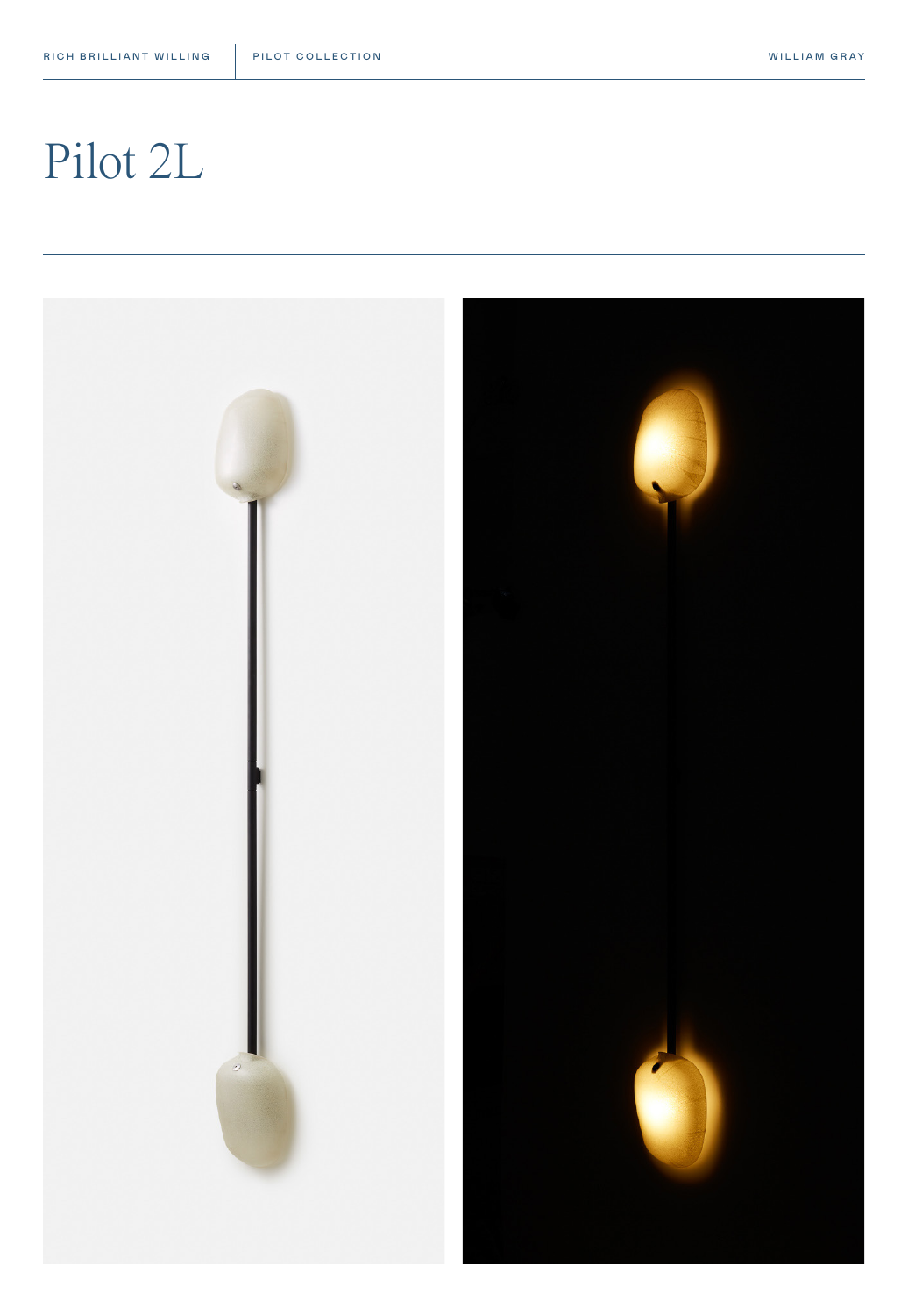#### WILLIAM GRAY

## Pilot 2L